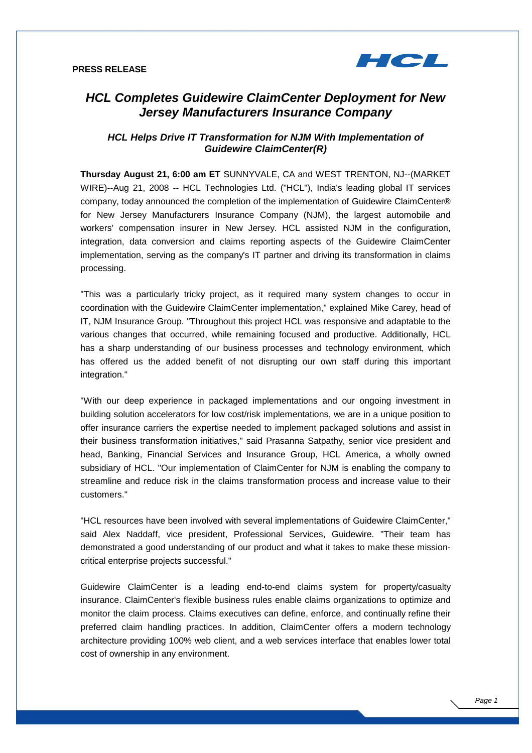

# **HCL Completes Guidewire ClaimCenter Deployment for New Jersey Manufacturers Insurance Company**

# **HCL Helps Drive IT Transformation for NJM With Implementation of Guidewire ClaimCenter(R)**

**Thursday August 21, 6:00 am ET** SUNNYVALE, CA and WEST TRENTON, NJ--(MARKET WIRE)--Aug 21, 2008 -- HCL Technologies Ltd. ("HCL"), India's leading global IT services company, today announced the completion of the implementation of Guidewire ClaimCenter® for New Jersey Manufacturers Insurance Company (NJM), the largest automobile and workers' compensation insurer in New Jersey. HCL assisted NJM in the configuration, integration, data conversion and claims reporting aspects of the Guidewire ClaimCenter implementation, serving as the company's IT partner and driving its transformation in claims processing.

"This was a particularly tricky project, as it required many system changes to occur in coordination with the Guidewire ClaimCenter implementation," explained Mike Carey, head of IT, NJM Insurance Group. "Throughout this project HCL was responsive and adaptable to the various changes that occurred, while remaining focused and productive. Additionally, HCL has a sharp understanding of our business processes and technology environment, which has offered us the added benefit of not disrupting our own staff during this important integration."

"With our deep experience in packaged implementations and our ongoing investment in building solution accelerators for low cost/risk implementations, we are in a unique position to offer insurance carriers the expertise needed to implement packaged solutions and assist in their business transformation initiatives," said Prasanna Satpathy, senior vice president and head, Banking, Financial Services and Insurance Group, HCL America, a wholly owned subsidiary of HCL. "Our implementation of ClaimCenter for NJM is enabling the company to streamline and reduce risk in the claims transformation process and increase value to their customers."

"HCL resources have been involved with several implementations of Guidewire ClaimCenter," said Alex Naddaff, vice president, Professional Services, Guidewire. "Their team has demonstrated a good understanding of our product and what it takes to make these missioncritical enterprise projects successful."

Guidewire ClaimCenter is a leading end-to-end claims system for property/casualty insurance. ClaimCenter's flexible business rules enable claims organizations to optimize and monitor the claim process. Claims executives can define, enforce, and continually refine their preferred claim handling practices. In addition, ClaimCenter offers a modern technology architecture providing 100% web client, and a web services interface that enables lower total cost of ownership in any environment.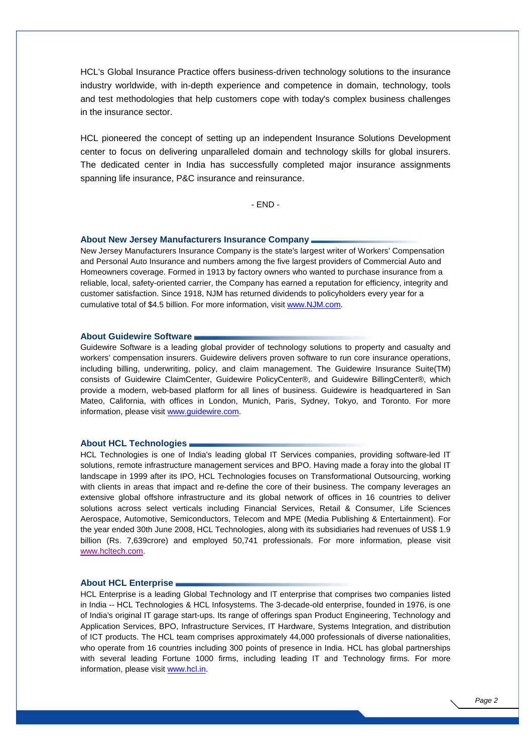HCL's Global Insurance Practice offers business-driven technology solutions to the insurance industry worldwide, with in-depth experience and competence in domain, technology, tools and test methodologies that help customers cope with today's complex business challenges in the insurance sector.

HCL pioneered the concept of setting up an independent Insurance Solutions Development center to focus on delivering unparalleled domain and technology skills for global insurers. The dedicated center in India has successfully completed major insurance assignments spanning life insurance, P&C insurance and reinsurance.

 $- FND -$ 

#### **About New Jersey Manufacturers Insurance Company**

New Jersey Manufacturers Insurance Company is the state's largest writer of Workers' Compensation and Personal Auto Insurance and numbers among the five largest providers of Commercial Auto and Homeowners coverage. Formed in 1913 by factory owners who wanted to purchase insurance from a reliable, local, safety-oriented carrier, the Company has earned a reputation for efficiency, integrity and customer satisfaction. Since 1918, NJM has returned dividends to policyholders every year for a cumulative total of \$4.5 billion. For more information, visit www.NJM.com.

## **About Guidewire Software**

Guidewire Software is a leading global provider of technology solutions to property and casualty and workers' compensation insurers. Guidewire delivers proven software to run core insurance operations, including billing, underwriting, policy, and claim management. The Guidewire Insurance Suite(TM) consists of Guidewire ClaimCenter, Guidewire PolicyCenter®, and Guidewire BillingCenter®, which provide a modern, web-based platform for all lines of business. Guidewire is headquartered in San Mateo, California, with offices in London, Munich, Paris, Sydney, Tokyo, and Toronto. For more information, please visit www.guidewire.com.

### **About HCL Technologies**

HCL Technologies is one of India's leading global IT Services companies, providing software-led IT solutions, remote infrastructure management services and BPO. Having made a foray into the global IT landscape in 1999 after its IPO, HCL Technologies focuses on Transformational Outsourcing, working with clients in areas that impact and re-define the core of their business. The company leverages an extensive global offshore infrastructure and its global network of offices in 16 countries to deliver solutions across select verticals including Financial Services, Retail & Consumer, Life Sciences Aerospace, Automotive, Semiconductors, Telecom and MPE (Media Publishing & Entertainment). For the year ended 30th June 2008, HCL Technologies, along with its subsidiaries had revenues of US\$ 1.9 billion (Rs. 7,639crore) and employed 50,741 professionals. For more information, please visit www.hcltech.com.

#### **About HCL Enterprise**

HCL Enterprise is a leading Global Technology and IT enterprise that comprises two companies listed in India -- HCL Technologies & HCL Infosystems. The 3-decade-old enterprise, founded in 1976, is one of India's original IT garage start-ups. Its range of offerings span Product Engineering, Technology and Application Services, BPO, Infrastructure Services, IT Hardware, Systems Integration, and distribution of ICT products. The HCL team comprises approximately 44,000 professionals of diverse nationalities, who operate from 16 countries including 300 points of presence in India. HCL has global partnerships with several leading Fortune 1000 firms, including leading IT and Technology firms. For more information, please visit www.hcl.in.